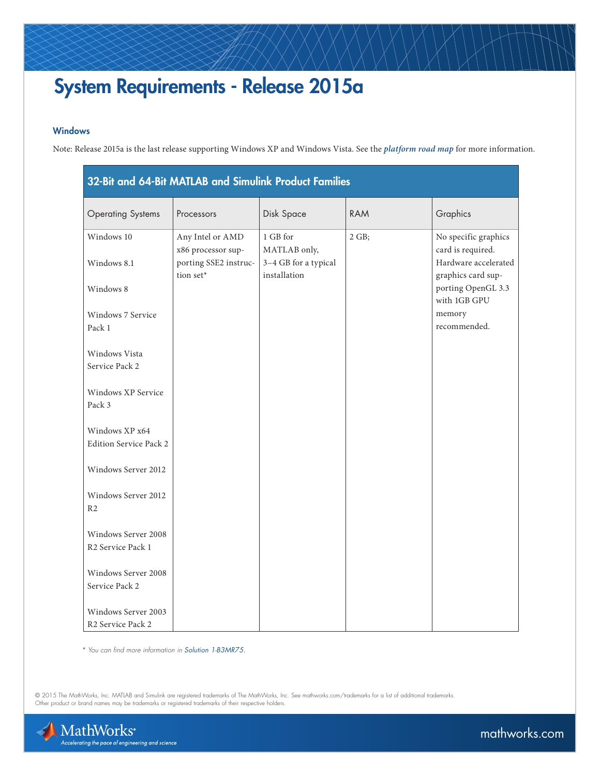## System Requirements - Release 2015a

## Windows

Note: Release 2015a is the last release supporting Windows XP and Windows Vista. See the *[platform road map](http://www.mathworks.com/support/sysreq/roadmap.html)* for more information.

| 32-Bit and 64-Bit MATLAB and Simulink Product Families |                                        |                                      |            |                                            |
|--------------------------------------------------------|----------------------------------------|--------------------------------------|------------|--------------------------------------------|
| <b>Operating Systems</b>                               | Processors                             | Disk Space                           | <b>RAM</b> | Graphics                                   |
| Windows 10                                             | Any Intel or AMD<br>x86 processor sup- | 1 GB for<br>MATLAB only,             | 2 GB;      | No specific graphics<br>card is required.  |
| Windows 8.1                                            | porting SSE2 instruc-<br>tion set*     | 3-4 GB for a typical<br>installation |            | Hardware accelerated<br>graphics card sup- |
| Windows 8                                              |                                        |                                      |            | porting OpenGL 3.3<br>with 1GB GPU         |
| Windows 7 Service<br>Pack 1                            |                                        |                                      |            | memory<br>recommended.                     |
| Windows Vista<br>Service Pack 2                        |                                        |                                      |            |                                            |
| Windows XP Service<br>Pack 3                           |                                        |                                      |            |                                            |
| Windows XP x64<br>Edition Service Pack 2               |                                        |                                      |            |                                            |
| Windows Server 2012                                    |                                        |                                      |            |                                            |
| Windows Server 2012<br>R <sub>2</sub>                  |                                        |                                      |            |                                            |
| Windows Server 2008<br>R <sub>2</sub> Service Pack 1   |                                        |                                      |            |                                            |
| Windows Server 2008<br>Service Pack 2                  |                                        |                                      |            |                                            |
| Windows Server 2003<br>R <sub>2</sub> Service Pack 2   |                                        |                                      |            |                                            |

 *\* You can find more information in [Solution 1-B3MR75.](http://www.mathworks.com/matlabcentral/answers/93455-what-is-the-sse2-instruction-set-how-can-i-check-to-see-if-my-processor-supports-it)*

© 2015 The MathWorks, Inc. MATLAB and Simulink are registered trademarks of The MathWorks, Inc. See [mathworks.com/trademarks](http://www.mathworks.com/trademarks) for a list of additional trademarks.<br>Other product or brand names may be trademarks or registered



[mathworks.com](http://www.mathworks.com)